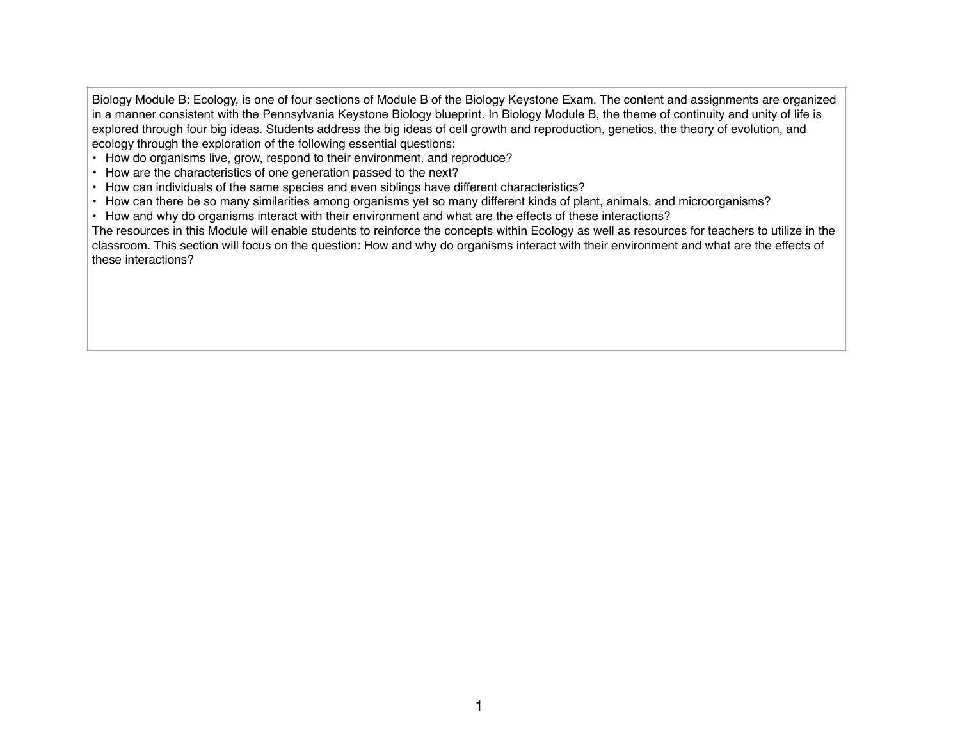Biology Module B: Ecology, is one of four sections of Module B of the Biology Keystone Exam. The content and assignments are organized in a manner consistent with the Pennsylvania Keystone Biology blueprint. In Biology Module B, the theme of continuity and unity of life is explored through four big ideas. Students address the big ideas of cell growth and reproduction, genetics, the theory of evolution, and ecology through the exploration of the following essential questions:

- How do organisms live, grow, respond to their environment, and reproduce?
- How are the characteristics of one generation passed to the next?
- How can individuals of the same species and even siblings have different characteristics?
- How can there be so many similarities among organisms yet so many different kinds of plant, animals, and microorganisms?
- How and why do organisms interact with their environment and what are the effects of these interactions?

The resources in this Module will enable students to reinforce the concepts within Ecology as well as resources for teachers to utilize in the classroom. This section will focus on the question: How and why do organisms interact with their environment and what are the effects of these interactions?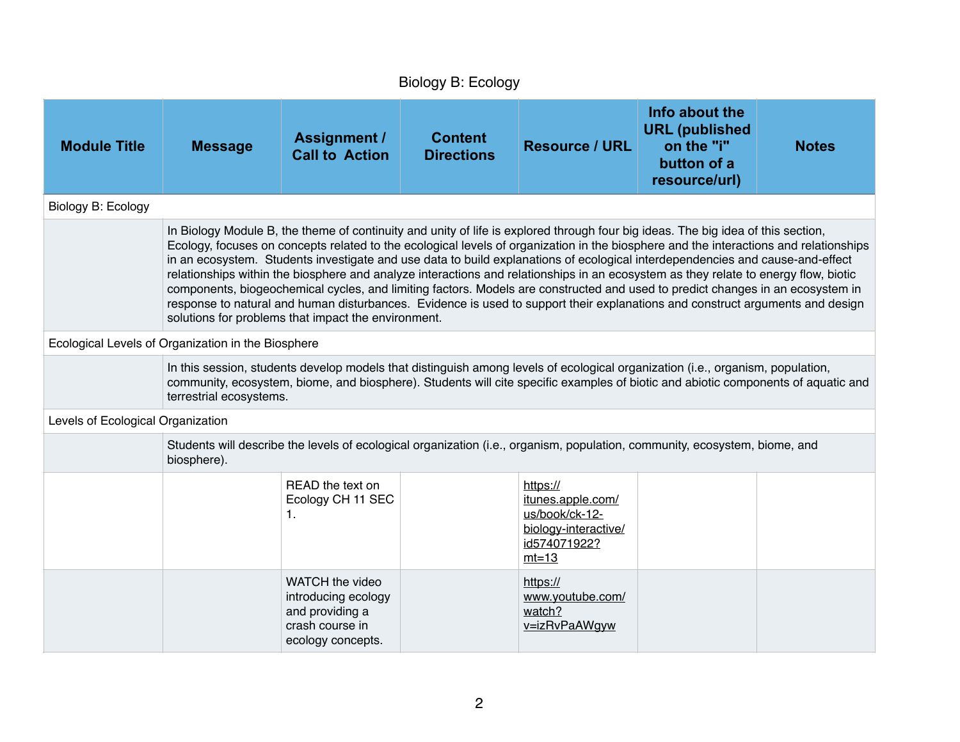| Biology B: Ecology                                                                                                                                                                                                                                                                                                                                                                                                                                                                                                                                                                                                                                                                                                                                                                                                                                                          |                                                                                                                                                                                                                                                                                                |                                                                                                   |                                     |                                                                                                                            |                                                                                       |              |  |
|-----------------------------------------------------------------------------------------------------------------------------------------------------------------------------------------------------------------------------------------------------------------------------------------------------------------------------------------------------------------------------------------------------------------------------------------------------------------------------------------------------------------------------------------------------------------------------------------------------------------------------------------------------------------------------------------------------------------------------------------------------------------------------------------------------------------------------------------------------------------------------|------------------------------------------------------------------------------------------------------------------------------------------------------------------------------------------------------------------------------------------------------------------------------------------------|---------------------------------------------------------------------------------------------------|-------------------------------------|----------------------------------------------------------------------------------------------------------------------------|---------------------------------------------------------------------------------------|--------------|--|
| <b>Module Title</b>                                                                                                                                                                                                                                                                                                                                                                                                                                                                                                                                                                                                                                                                                                                                                                                                                                                         | <b>Message</b>                                                                                                                                                                                                                                                                                 | <b>Assignment /</b><br><b>Call to Action</b>                                                      | <b>Content</b><br><b>Directions</b> | <b>Resource / URL</b>                                                                                                      | Info about the<br><b>URL</b> (published<br>on the "i"<br>button of a<br>resource/url) | <b>Notes</b> |  |
| Biology B: Ecology                                                                                                                                                                                                                                                                                                                                                                                                                                                                                                                                                                                                                                                                                                                                                                                                                                                          |                                                                                                                                                                                                                                                                                                |                                                                                                   |                                     |                                                                                                                            |                                                                                       |              |  |
| In Biology Module B, the theme of continuity and unity of life is explored through four big ideas. The big idea of this section,<br>Ecology, focuses on concepts related to the ecological levels of organization in the biosphere and the interactions and relationships<br>in an ecosystem. Students investigate and use data to build explanations of ecological interdependencies and cause-and-effect<br>relationships within the biosphere and analyze interactions and relationships in an ecosystem as they relate to energy flow, biotic<br>components, biogeochemical cycles, and limiting factors. Models are constructed and used to predict changes in an ecosystem in<br>response to natural and human disturbances. Evidence is used to support their explanations and construct arguments and design<br>solutions for problems that impact the environment. |                                                                                                                                                                                                                                                                                                |                                                                                                   |                                     |                                                                                                                            |                                                                                       |              |  |
| Ecological Levels of Organization in the Biosphere                                                                                                                                                                                                                                                                                                                                                                                                                                                                                                                                                                                                                                                                                                                                                                                                                          |                                                                                                                                                                                                                                                                                                |                                                                                                   |                                     |                                                                                                                            |                                                                                       |              |  |
|                                                                                                                                                                                                                                                                                                                                                                                                                                                                                                                                                                                                                                                                                                                                                                                                                                                                             | In this session, students develop models that distinguish among levels of ecological organization (i.e., organism, population,<br>community, ecosystem, biome, and biosphere). Students will cite specific examples of biotic and abiotic components of aquatic and<br>terrestrial ecosystems. |                                                                                                   |                                     |                                                                                                                            |                                                                                       |              |  |
| Levels of Ecological Organization                                                                                                                                                                                                                                                                                                                                                                                                                                                                                                                                                                                                                                                                                                                                                                                                                                           |                                                                                                                                                                                                                                                                                                |                                                                                                   |                                     |                                                                                                                            |                                                                                       |              |  |
|                                                                                                                                                                                                                                                                                                                                                                                                                                                                                                                                                                                                                                                                                                                                                                                                                                                                             | biosphere).                                                                                                                                                                                                                                                                                    |                                                                                                   |                                     | Students will describe the levels of ecological organization (i.e., organism, population, community, ecosystem, biome, and |                                                                                       |              |  |
|                                                                                                                                                                                                                                                                                                                                                                                                                                                                                                                                                                                                                                                                                                                                                                                                                                                                             |                                                                                                                                                                                                                                                                                                | READ the text on<br>Ecology CH 11 SEC<br>1.                                                       |                                     | https://<br>itunes.apple.com/<br>us/book/ck-12-<br>biology-interactive/<br>id574071922?<br>$mt=13$                         |                                                                                       |              |  |
|                                                                                                                                                                                                                                                                                                                                                                                                                                                                                                                                                                                                                                                                                                                                                                                                                                                                             |                                                                                                                                                                                                                                                                                                | WATCH the video<br>introducing ecology<br>and providing a<br>crash course in<br>ecology concepts. |                                     | https://<br>www.youtube.com/<br>watch?<br>v=izRvPaAWgyw                                                                    |                                                                                       |              |  |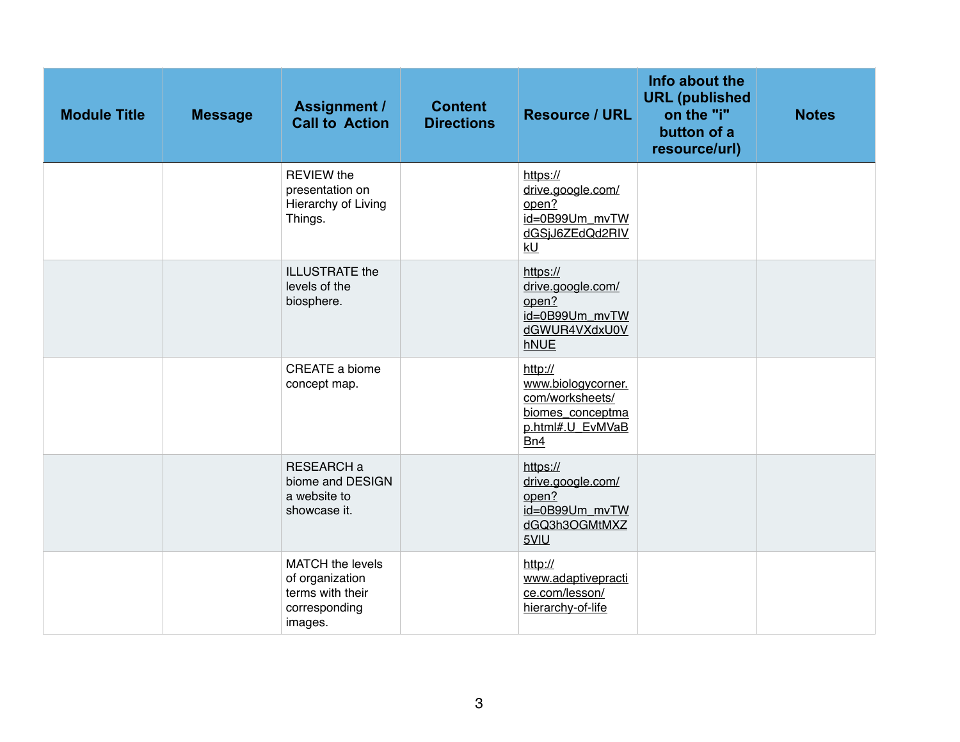| <b>Module Title</b> | <b>Message</b> | <b>Assignment /</b><br><b>Call to Action</b>                                               | <b>Content</b><br><b>Directions</b> | <b>Resource / URL</b>                                                                           | Info about the<br><b>URL</b> (published<br>on the "i"<br>button of a<br>resource/url) | <b>Notes</b> |
|---------------------|----------------|--------------------------------------------------------------------------------------------|-------------------------------------|-------------------------------------------------------------------------------------------------|---------------------------------------------------------------------------------------|--------------|
|                     |                | <b>REVIEW the</b><br>presentation on<br>Hierarchy of Living<br>Things.                     |                                     | https://<br>drive.google.com/<br>open?<br>id=0B99Um_mvTW<br>dGSjJ6ZEdQd2RIV<br>kU               |                                                                                       |              |
|                     |                | <b>ILLUSTRATE</b> the<br>levels of the<br>biosphere.                                       |                                     | https://<br>drive.google.com/<br>open?<br>id=0B99Um_mvTW<br>dGWUR4VXdxU0V<br>hNUE               |                                                                                       |              |
|                     |                | CREATE a biome<br>concept map.                                                             |                                     | http://<br>www.biologycorner.<br>com/worksheets/<br>biomes_conceptma<br>p.html#.U_EvMVaB<br>Bn4 |                                                                                       |              |
|                     |                | RESEARCH a<br>biome and DESIGN<br>a website to<br>showcase it.                             |                                     | https://<br>drive.google.com/<br>open?<br>id=0B99Um_mvTW<br>dGQ3h3OGMtMXZ<br>5VIU               |                                                                                       |              |
|                     |                | <b>MATCH</b> the levels<br>of organization<br>terms with their<br>corresponding<br>images. |                                     | http://<br>www.adaptivepracti<br>ce.com/lesson/<br>hierarchy-of-life                            |                                                                                       |              |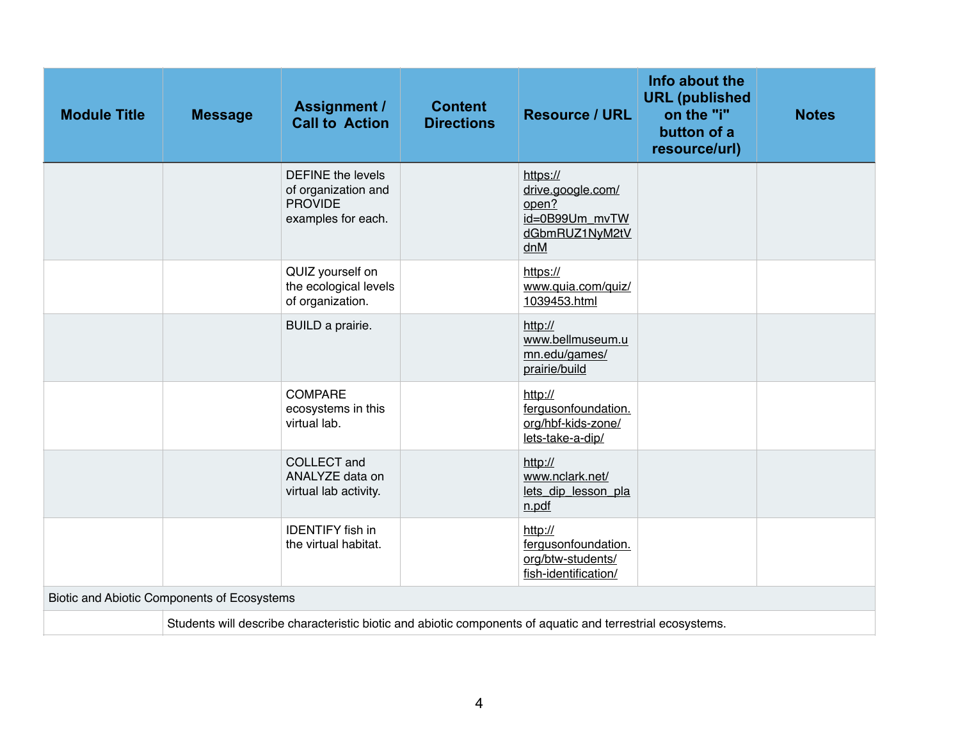| <b>Module Title</b> | <b>Message</b>                              | <b>Assignment /</b><br><b>Call to Action</b>                                                               | <b>Content</b><br><b>Directions</b> | <b>Resource / URL</b>                                                             | Info about the<br><b>URL</b> (published<br>on the "i"<br>button of a<br>resource/url) | <b>Notes</b> |
|---------------------|---------------------------------------------|------------------------------------------------------------------------------------------------------------|-------------------------------------|-----------------------------------------------------------------------------------|---------------------------------------------------------------------------------------|--------------|
|                     |                                             | <b>DEFINE</b> the levels<br>of organization and<br><b>PROVIDE</b><br>examples for each.                    |                                     | https://<br>drive.google.com/<br>open?<br>id=0B99Um_mvTW<br>dGbmRUZ1NyM2tV<br>dnM |                                                                                       |              |
|                     |                                             | QUIZ yourself on<br>the ecological levels<br>of organization.                                              |                                     | https://<br>www.quia.com/quiz/<br>1039453.html                                    |                                                                                       |              |
|                     |                                             | BUILD a prairie.                                                                                           |                                     | http://<br>www.bellmuseum.u<br>mn.edu/games/<br>prairie/build                     |                                                                                       |              |
|                     |                                             | <b>COMPARE</b><br>ecosystems in this<br>virtual lab.                                                       |                                     | http://<br>fergusonfoundation.<br>org/hbf-kids-zone/<br>lets-take-a-dip/          |                                                                                       |              |
|                     |                                             | <b>COLLECT</b> and<br>ANALYZE data on<br>virtual lab activity.                                             |                                     | http://<br>www.nclark.net/<br>lets dip lesson pla<br>n.pdf                        |                                                                                       |              |
|                     |                                             | <b>IDENTIFY</b> fish in<br>the virtual habitat.                                                            |                                     | http://<br>fergusonfoundation.<br>org/btw-students/<br>fish-identification/       |                                                                                       |              |
|                     | Biotic and Abiotic Components of Ecosystems |                                                                                                            |                                     |                                                                                   |                                                                                       |              |
|                     |                                             | Students will describe characteristic biotic and abiotic components of aquatic and terrestrial ecosystems. |                                     |                                                                                   |                                                                                       |              |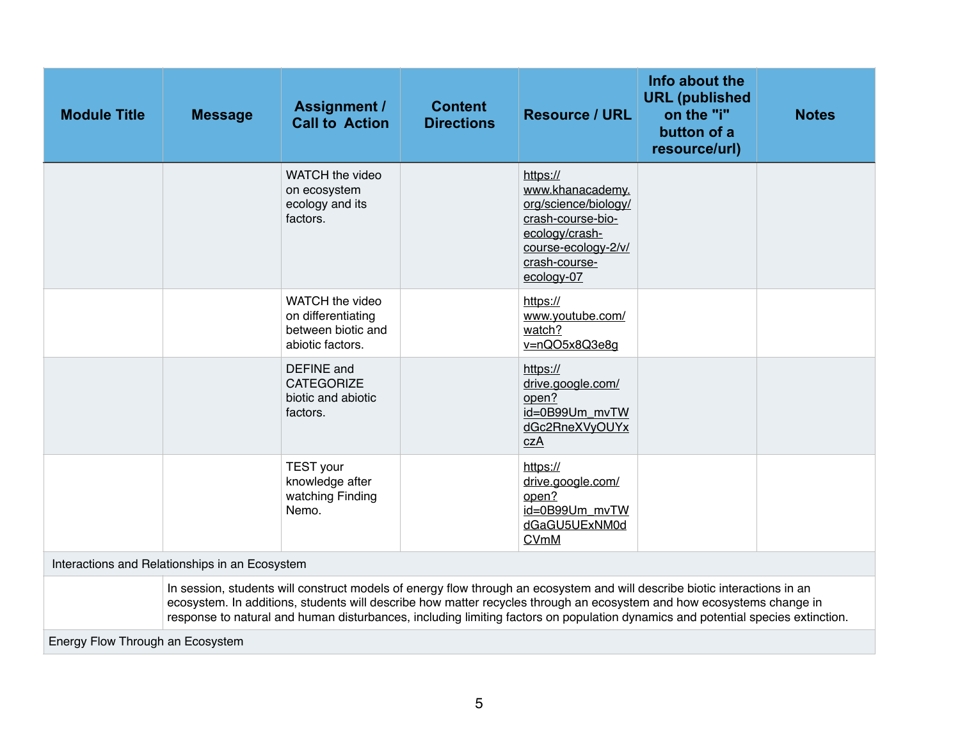| <b>Module Title</b>                                                                                                                                                                                                                                                                                                                                                                    | <b>Message</b>                                 | <b>Assignment /</b><br><b>Call to Action</b>                                    | <b>Content</b><br><b>Directions</b> | <b>Resource / URL</b>                                                                                                                             | Info about the<br><b>URL</b> (published<br>on the "i"<br>button of a<br>resource/url) | <b>Notes</b> |  |  |
|----------------------------------------------------------------------------------------------------------------------------------------------------------------------------------------------------------------------------------------------------------------------------------------------------------------------------------------------------------------------------------------|------------------------------------------------|---------------------------------------------------------------------------------|-------------------------------------|---------------------------------------------------------------------------------------------------------------------------------------------------|---------------------------------------------------------------------------------------|--------------|--|--|
|                                                                                                                                                                                                                                                                                                                                                                                        |                                                | WATCH the video<br>on ecosystem<br>ecology and its<br>factors.                  |                                     | https://<br>www.khanacademy.<br>org/science/biology/<br>crash-course-bio-<br>ecology/crash-<br>course-ecology-2/v/<br>crash-course-<br>ecology-07 |                                                                                       |              |  |  |
|                                                                                                                                                                                                                                                                                                                                                                                        |                                                | WATCH the video<br>on differentiating<br>between biotic and<br>abiotic factors. |                                     | https://<br>www.youtube.com/<br>watch?<br>v=nQO5x8Q3e8g                                                                                           |                                                                                       |              |  |  |
|                                                                                                                                                                                                                                                                                                                                                                                        |                                                | <b>DEFINE</b> and<br><b>CATEGORIZE</b><br>biotic and abiotic<br>factors.        |                                     | https://<br>drive.google.com/<br>open?<br>id=0B99Um mvTW<br>dGc2RneXVyOUYx<br>czA                                                                 |                                                                                       |              |  |  |
|                                                                                                                                                                                                                                                                                                                                                                                        |                                                | <b>TEST</b> your<br>knowledge after<br>watching Finding<br>Nemo.                |                                     | https://<br>drive.google.com/<br>open?<br>id=0B99Um mvTW<br>dGaGU5UExNM0d<br><b>CVmM</b>                                                          |                                                                                       |              |  |  |
|                                                                                                                                                                                                                                                                                                                                                                                        | Interactions and Relationships in an Ecosystem |                                                                                 |                                     |                                                                                                                                                   |                                                                                       |              |  |  |
| In session, students will construct models of energy flow through an ecosystem and will describe biotic interactions in an<br>ecosystem. In additions, students will describe how matter recycles through an ecosystem and how ecosystems change in<br>response to natural and human disturbances, including limiting factors on population dynamics and potential species extinction. |                                                |                                                                                 |                                     |                                                                                                                                                   |                                                                                       |              |  |  |
| Energy Flow Through an Ecosystem                                                                                                                                                                                                                                                                                                                                                       |                                                |                                                                                 |                                     |                                                                                                                                                   |                                                                                       |              |  |  |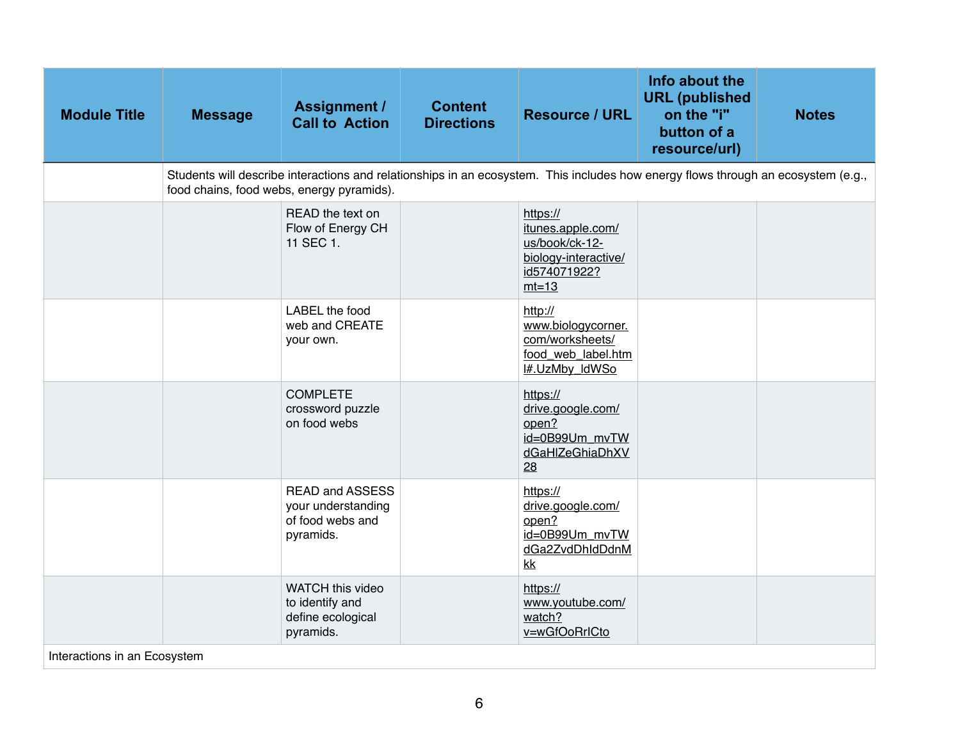| <b>Module Title</b>          | <b>Message</b>                                                                                                                                                                 | <b>Assignment /</b><br><b>Call to Action</b>                                  | <b>Content</b><br><b>Directions</b> | <b>Resource / URL</b>                                                                              | Info about the<br><b>URL</b> (published<br>on the "i"<br>button of a<br>resource/url) | <b>Notes</b> |  |  |  |
|------------------------------|--------------------------------------------------------------------------------------------------------------------------------------------------------------------------------|-------------------------------------------------------------------------------|-------------------------------------|----------------------------------------------------------------------------------------------------|---------------------------------------------------------------------------------------|--------------|--|--|--|
|                              | Students will describe interactions and relationships in an ecosystem. This includes how energy flows through an ecosystem (e.g.,<br>food chains, food webs, energy pyramids). |                                                                               |                                     |                                                                                                    |                                                                                       |              |  |  |  |
|                              |                                                                                                                                                                                | READ the text on<br>Flow of Energy CH<br>11 SEC 1.                            |                                     | https://<br>itunes.apple.com/<br>us/book/ck-12-<br>biology-interactive/<br>id574071922?<br>$mt=13$ |                                                                                       |              |  |  |  |
|                              |                                                                                                                                                                                | LABEL the food<br>web and CREATE<br>your own.                                 |                                     | http://<br>www.biologycorner.<br>com/worksheets/<br>food_web_label.htm<br>I#.UzMby_IdWSo           |                                                                                       |              |  |  |  |
|                              |                                                                                                                                                                                | <b>COMPLETE</b><br>crossword puzzle<br>on food webs                           |                                     | https://<br>drive.google.com/<br>open?<br>id=0B99Um_mvTW<br>dGaHIZeGhiaDhXV<br>28                  |                                                                                       |              |  |  |  |
|                              |                                                                                                                                                                                | <b>READ and ASSESS</b><br>your understanding<br>of food webs and<br>pyramids. |                                     | https://<br>drive.google.com/<br>open?<br>id=0B99Um_mvTW<br>dGa2ZvdDhIdDdnM<br>k                   |                                                                                       |              |  |  |  |
| Interactions in an Ecosystem |                                                                                                                                                                                | WATCH this video<br>to identify and<br>define ecological<br>pyramids.         |                                     | https://<br>www.youtube.com/<br>watch?<br>v=wGfOoRrICto                                            |                                                                                       |              |  |  |  |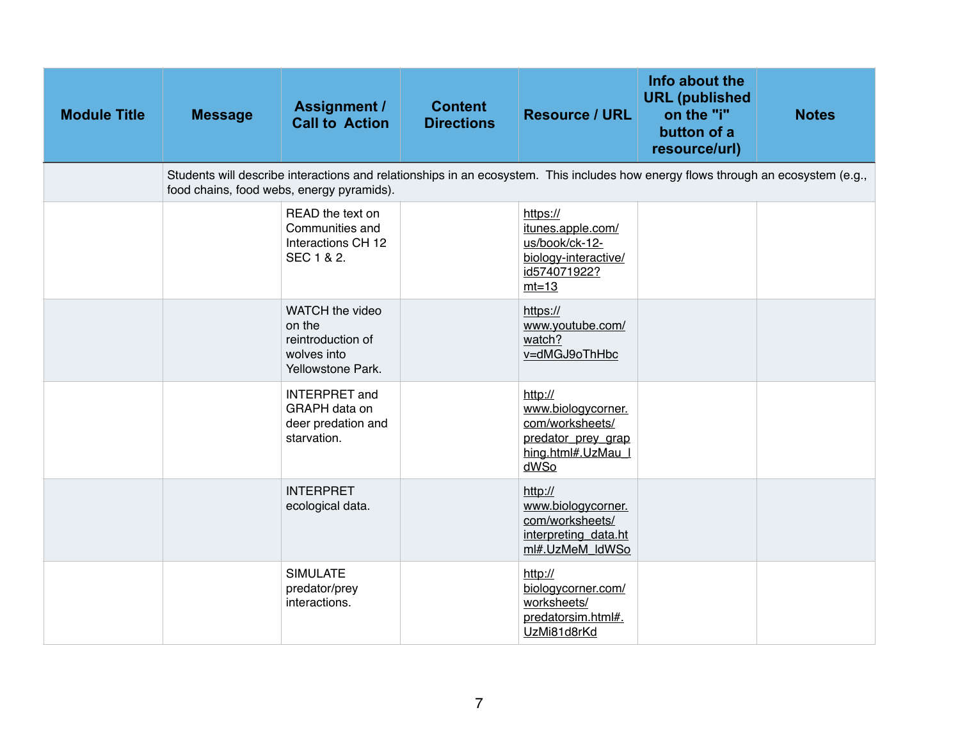| <b>Module Title</b> | <b>Message</b>                                                                                                                                                                 | <b>Assignment /</b><br><b>Call to Action</b>                                       | <b>Content</b><br><b>Directions</b> | <b>Resource / URL</b>                                                                                | Info about the<br><b>URL</b> (published<br>on the "i"<br>button of a<br>resource/url) | <b>Notes</b> |  |  |  |
|---------------------|--------------------------------------------------------------------------------------------------------------------------------------------------------------------------------|------------------------------------------------------------------------------------|-------------------------------------|------------------------------------------------------------------------------------------------------|---------------------------------------------------------------------------------------|--------------|--|--|--|
|                     | Students will describe interactions and relationships in an ecosystem. This includes how energy flows through an ecosystem (e.g.,<br>food chains, food webs, energy pyramids). |                                                                                    |                                     |                                                                                                      |                                                                                       |              |  |  |  |
|                     |                                                                                                                                                                                | READ the text on<br>Communities and<br>Interactions CH 12<br>SEC 1 & 2.            |                                     | https://<br>itunes.apple.com/<br>us/book/ck-12-<br>biology-interactive/<br>id574071922?<br>$mt=13$   |                                                                                       |              |  |  |  |
|                     |                                                                                                                                                                                | WATCH the video<br>on the<br>reintroduction of<br>wolves into<br>Yellowstone Park. |                                     | https://<br>www.youtube.com/<br>watch?<br>v=dMGJ9oThHbc                                              |                                                                                       |              |  |  |  |
|                     |                                                                                                                                                                                | <b>INTERPRET</b> and<br>GRAPH data on<br>deer predation and<br>starvation.         |                                     | http://<br>www.biologycorner.<br>com/worksheets/<br>predator_prey_grap<br>hing.html#.UzMau_l<br>dWSo |                                                                                       |              |  |  |  |
|                     |                                                                                                                                                                                | <b>INTERPRET</b><br>ecological data.                                               |                                     | http://<br>www.biologycorner.<br>com/worksheets/<br>interpreting data.ht<br>ml#.UzMeM_ldWSo          |                                                                                       |              |  |  |  |
|                     |                                                                                                                                                                                | <b>SIMULATE</b><br>predator/prey<br>interactions.                                  |                                     | http://<br>biologycorner.com/<br>worksheets/<br>predatorsim.html#.<br>UzMi81d8rKd                    |                                                                                       |              |  |  |  |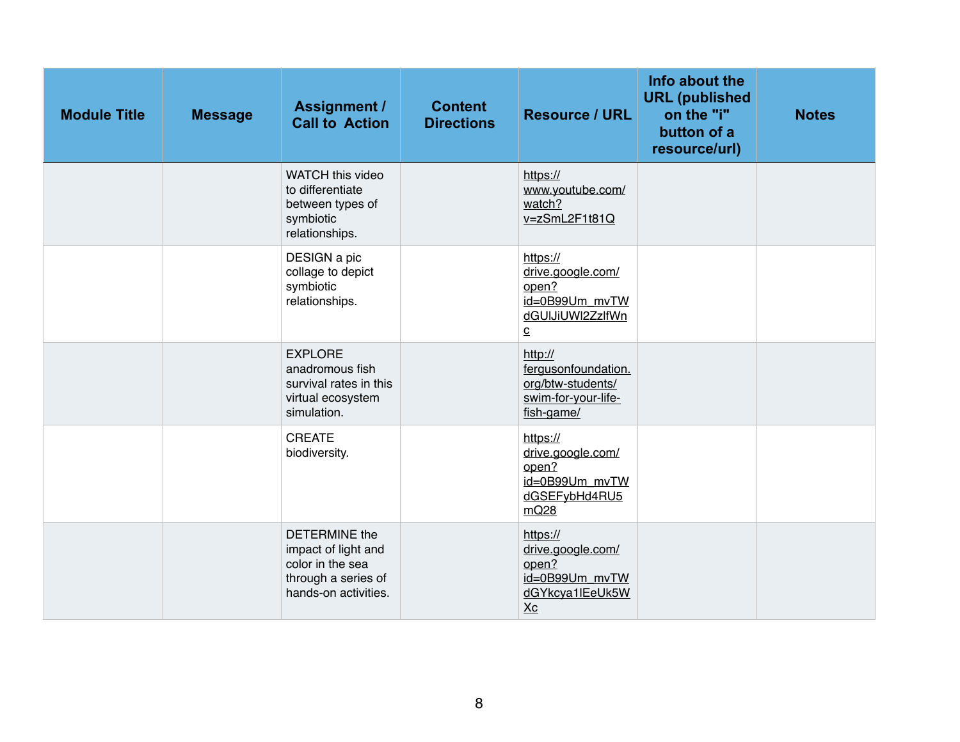| <b>Module Title</b> | <b>Message</b> | <b>Assignment /</b><br><b>Call to Action</b>                                                                   | <b>Content</b><br><b>Directions</b> | <b>Resource / URL</b>                                                                                    | Info about the<br><b>URL</b> (published<br>on the "i"<br>button of a<br>resource/url) | <b>Notes</b> |
|---------------------|----------------|----------------------------------------------------------------------------------------------------------------|-------------------------------------|----------------------------------------------------------------------------------------------------------|---------------------------------------------------------------------------------------|--------------|
|                     |                | WATCH this video<br>to differentiate<br>between types of<br>symbiotic<br>relationships.                        |                                     | https://<br>www.youtube.com/<br>watch?<br>v=zSmL2F1t81Q                                                  |                                                                                       |              |
|                     |                | DESIGN a pic<br>collage to depict<br>symbiotic<br>relationships.                                               |                                     | https://<br>drive.google.com/<br>open?<br>id=0B99Um_mvTW<br>dGUIJiUWI2ZzlfWn<br>$\underline{\mathbf{C}}$ |                                                                                       |              |
|                     |                | <b>EXPLORE</b><br>anadromous fish<br>survival rates in this<br>virtual ecosystem<br>simulation.                |                                     | http://<br>fergusonfoundation.<br>org/btw-students/<br>swim-for-your-life-<br>fish-game/                 |                                                                                       |              |
|                     |                | <b>CREATE</b><br>biodiversity.                                                                                 |                                     | https://<br>drive.google.com/<br>open?<br>id=0B99Um_mvTW<br>dGSEFybHd4RU5<br>mQ28                        |                                                                                       |              |
|                     |                | <b>DETERMINE</b> the<br>impact of light and<br>color in the sea<br>through a series of<br>hands-on activities. |                                     | https://<br>drive.google.com/<br>open?<br>id=0B99Um mvTW<br>dGYkcya1IEeUk5W<br>X <sub>C</sub>            |                                                                                       |              |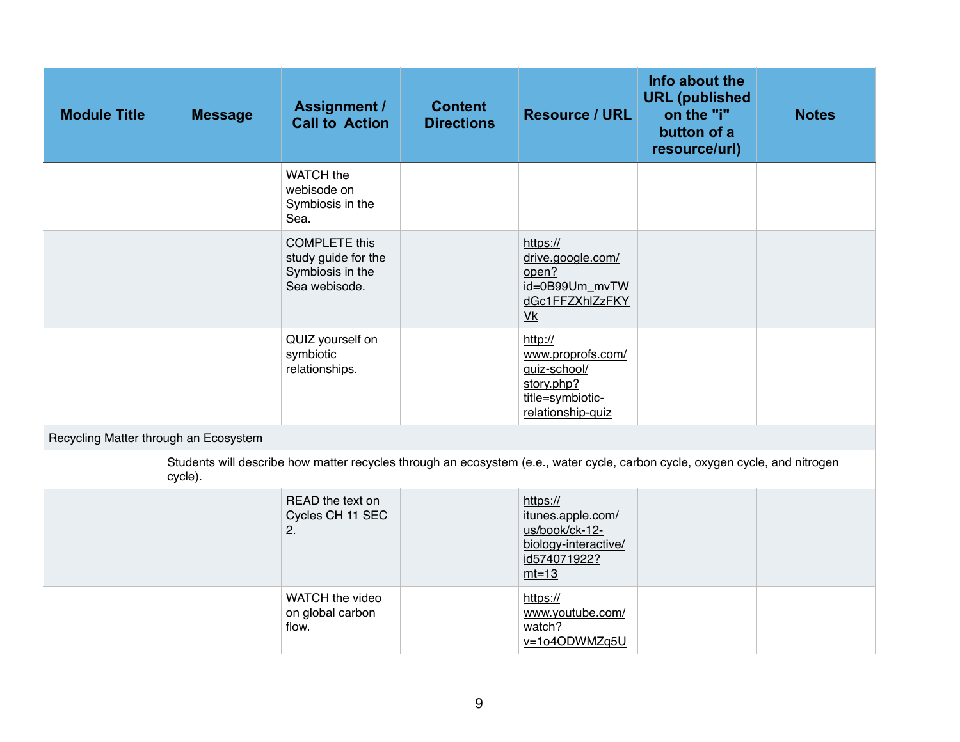| <b>Module Title</b>                   | <b>Message</b> | <b>Assignment /</b><br><b>Call to Action</b>                                                                                 | <b>Content</b><br><b>Directions</b> | <b>Resource / URL</b>                                                                               | Info about the<br><b>URL</b> (published<br>on the "i"<br>button of a<br>resource/url) | <b>Notes</b> |
|---------------------------------------|----------------|------------------------------------------------------------------------------------------------------------------------------|-------------------------------------|-----------------------------------------------------------------------------------------------------|---------------------------------------------------------------------------------------|--------------|
|                                       |                | WATCH the<br>webisode on<br>Symbiosis in the<br>Sea.                                                                         |                                     |                                                                                                     |                                                                                       |              |
|                                       |                | <b>COMPLETE this</b><br>study guide for the<br>Symbiosis in the<br>Sea webisode.                                             |                                     | https://<br>drive.google.com/<br>open?<br>id=0B99Um_mvTW<br>dGc1FFZXhlZzFKY<br>V <sub>k</sub>       |                                                                                       |              |
|                                       |                | QUIZ yourself on<br>symbiotic<br>relationships.                                                                              |                                     | http://<br>www.proprofs.com/<br>quiz-school/<br>story.php?<br>title=symbiotic-<br>relationship-quiz |                                                                                       |              |
| Recycling Matter through an Ecosystem |                |                                                                                                                              |                                     |                                                                                                     |                                                                                       |              |
|                                       | cycle).        | Students will describe how matter recycles through an ecosystem (e.e., water cycle, carbon cycle, oxygen cycle, and nitrogen |                                     |                                                                                                     |                                                                                       |              |
|                                       |                | READ the text on<br>Cycles CH 11 SEC<br>2.                                                                                   |                                     | https://<br>itunes.apple.com/<br>us/book/ck-12-<br>biology-interactive/<br>id574071922?<br>$mt=13$  |                                                                                       |              |
|                                       |                | WATCH the video<br>on global carbon<br>flow.                                                                                 |                                     | https://<br>www.youtube.com/<br>watch?<br>v=1o4ODWMZq5U                                             |                                                                                       |              |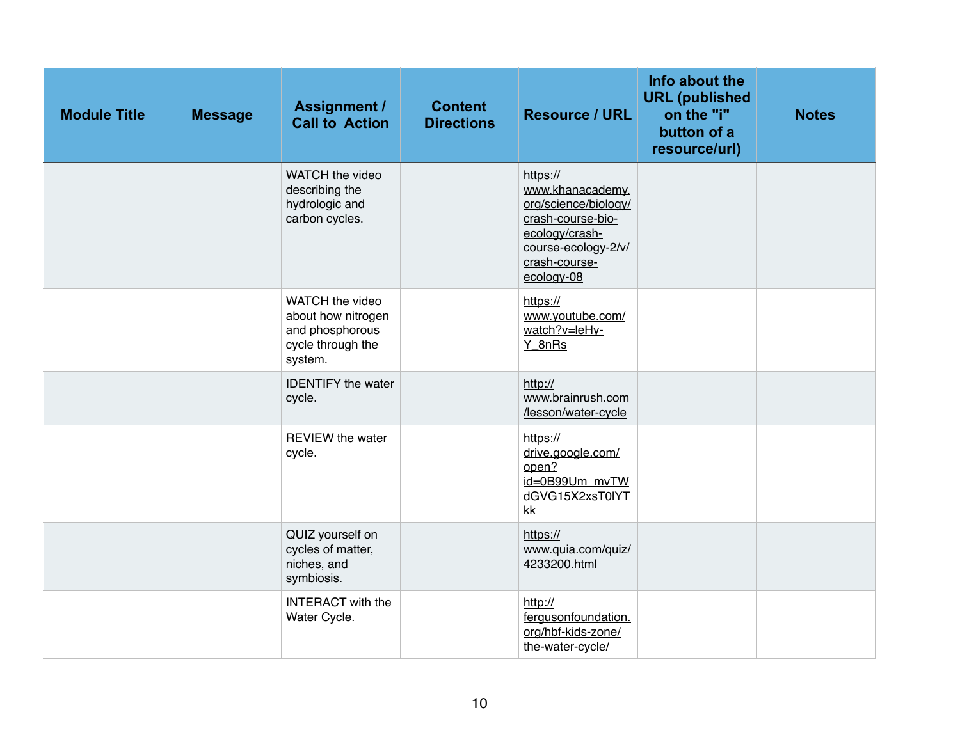| <b>Module Title</b> | <b>Message</b> | <b>Assignment /</b><br><b>Call to Action</b>                                             | <b>Content</b><br><b>Directions</b> | <b>Resource / URL</b>                                                                                                                             | Info about the<br><b>URL</b> (published<br>on the "i"<br>button of a<br>resource/url) | <b>Notes</b> |
|---------------------|----------------|------------------------------------------------------------------------------------------|-------------------------------------|---------------------------------------------------------------------------------------------------------------------------------------------------|---------------------------------------------------------------------------------------|--------------|
|                     |                | WATCH the video<br>describing the<br>hydrologic and<br>carbon cycles.                    |                                     | https://<br>www.khanacademy.<br>org/science/biology/<br>crash-course-bio-<br>ecology/crash-<br>course-ecology-2/v/<br>crash-course-<br>ecology-08 |                                                                                       |              |
|                     |                | WATCH the video<br>about how nitrogen<br>and phosphorous<br>cycle through the<br>system. |                                     | https://<br>www.youtube.com/<br>watch?v=leHy-<br>Y 8nRs                                                                                           |                                                                                       |              |
|                     |                | <b>IDENTIFY</b> the water<br>cycle.                                                      |                                     | http://<br>www.brainrush.com<br>/lesson/water-cycle                                                                                               |                                                                                       |              |
|                     |                | <b>REVIEW the water</b><br>cycle.                                                        |                                     | https://<br>drive.google.com/<br>open?<br>id=0B99Um_mvTW<br>dGVG15X2xsT0IYT<br>kk                                                                 |                                                                                       |              |
|                     |                | QUIZ yourself on<br>cycles of matter,<br>niches, and<br>symbiosis.                       |                                     | https://<br>www.quia.com/quiz/<br>4233200.html                                                                                                    |                                                                                       |              |
|                     |                | <b>INTERACT</b> with the<br>Water Cycle.                                                 |                                     | http://<br>fergusonfoundation.<br>org/hbf-kids-zone/<br>the-water-cycle/                                                                          |                                                                                       |              |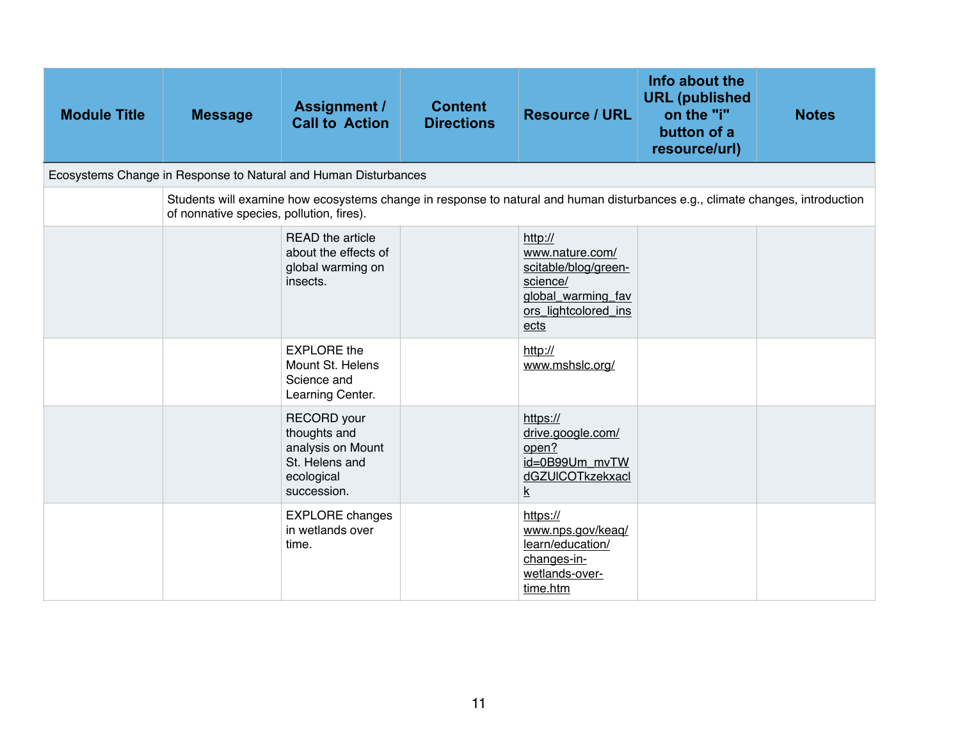| <b>Module Title</b>                                             | <b>Message</b>                           | <b>Assignment /</b><br><b>Call to Action</b>                                                                                  | <b>Content</b><br><b>Directions</b> | <b>Resource / URL</b>                                                                                                | Info about the<br><b>URL</b> (published<br>on the "i"<br>button of a<br>resource/url) | <b>Notes</b> |  |  |
|-----------------------------------------------------------------|------------------------------------------|-------------------------------------------------------------------------------------------------------------------------------|-------------------------------------|----------------------------------------------------------------------------------------------------------------------|---------------------------------------------------------------------------------------|--------------|--|--|
| Ecosystems Change in Response to Natural and Human Disturbances |                                          |                                                                                                                               |                                     |                                                                                                                      |                                                                                       |              |  |  |
|                                                                 | of nonnative species, pollution, fires). | Students will examine how ecosystems change in response to natural and human disturbances e.g., climate changes, introduction |                                     |                                                                                                                      |                                                                                       |              |  |  |
|                                                                 |                                          | <b>READ</b> the article<br>about the effects of<br>global warming on<br>insects.                                              |                                     | http://<br>www.nature.com/<br>scitable/blog/green-<br>science/<br>global_warming_fav<br>ors_lightcolored_ins<br>ects |                                                                                       |              |  |  |
|                                                                 |                                          | <b>EXPLORE</b> the<br>Mount St. Helens<br>Science and<br>Learning Center.                                                     |                                     | http://<br>www.mshslc.org/                                                                                           |                                                                                       |              |  |  |
|                                                                 |                                          | <b>RECORD</b> your<br>thoughts and<br>analysis on Mount<br>St. Helens and<br>ecological<br>succession.                        |                                     | https://<br>drive.google.com/<br>open?<br>id=0B99Um mvTW<br>dGZUICOTkzekxacl<br>k                                    |                                                                                       |              |  |  |
|                                                                 |                                          | <b>EXPLORE</b> changes<br>in wetlands over<br>time.                                                                           |                                     | https://<br>www.nps.gov/keaq/<br>learn/education/<br>changes-in-<br>wetlands-over-<br>time.htm                       |                                                                                       |              |  |  |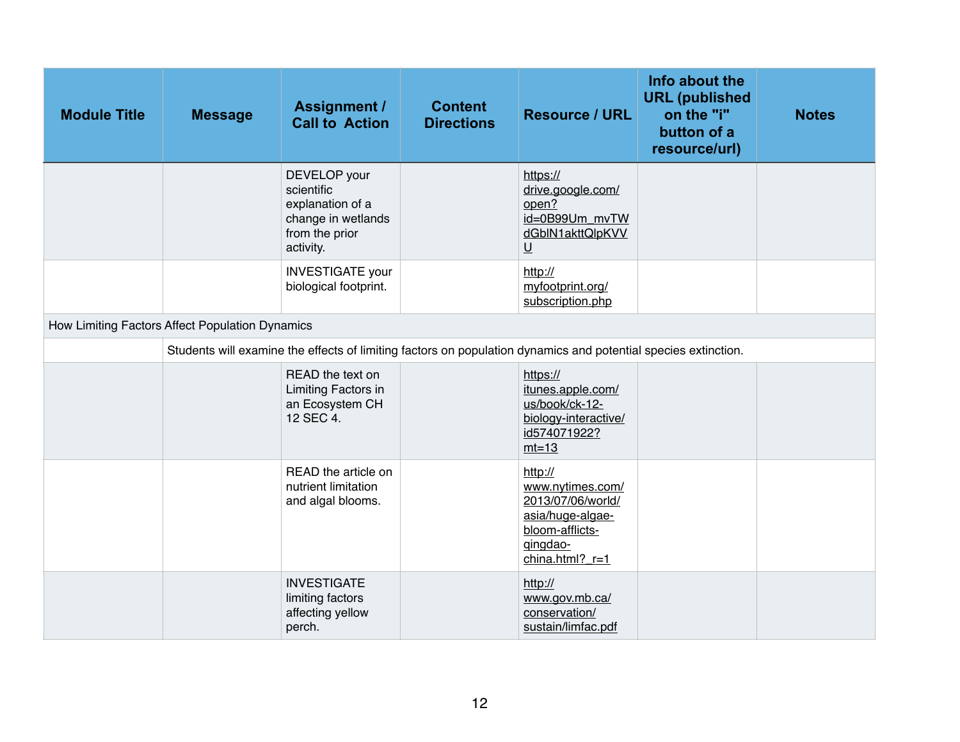| <b>Module Title</b>                             | <b>Message</b> | <b>Assignment /</b><br><b>Call to Action</b>                                                                   | <b>Content</b><br><b>Directions</b> | <b>Resource / URL</b>                                                                                                    | Info about the<br><b>URL</b> (published<br>on the "i"<br>button of a<br>resource/url) | <b>Notes</b> |  |  |
|-------------------------------------------------|----------------|----------------------------------------------------------------------------------------------------------------|-------------------------------------|--------------------------------------------------------------------------------------------------------------------------|---------------------------------------------------------------------------------------|--------------|--|--|
|                                                 |                | DEVELOP your<br>scientific<br>explanation of a<br>change in wetlands<br>from the prior<br>activity.            |                                     | https://<br>drive.google.com/<br>open?<br>id=0B99Um_mvTW<br>dGblN1akttQlpKVV<br>$\underline{\mathsf{U}}$                 |                                                                                       |              |  |  |
|                                                 |                | <b>INVESTIGATE</b> your<br>biological footprint.                                                               |                                     | http://<br>myfootprint.org/<br>subscription.php                                                                          |                                                                                       |              |  |  |
| How Limiting Factors Affect Population Dynamics |                |                                                                                                                |                                     |                                                                                                                          |                                                                                       |              |  |  |
|                                                 |                | Students will examine the effects of limiting factors on population dynamics and potential species extinction. |                                     |                                                                                                                          |                                                                                       |              |  |  |
|                                                 |                | READ the text on<br>Limiting Factors in<br>an Ecosystem CH<br>12 SEC 4.                                        |                                     | https://<br>itunes.apple.com/<br>us/book/ck-12-<br>biology-interactive/<br>id574071922?<br>$mt=13$                       |                                                                                       |              |  |  |
|                                                 |                | READ the article on<br>nutrient limitation<br>and algal blooms.                                                |                                     | http://<br>www.nytimes.com/<br>2013/07/06/world/<br>asia/huge-algae-<br>bloom-afflicts-<br>gingdao-<br>china.html? $r=1$ |                                                                                       |              |  |  |
|                                                 |                | <b>INVESTIGATE</b><br>limiting factors<br>affecting yellow<br>perch.                                           |                                     | http://<br>www.gov.mb.ca/<br>conservation/<br>sustain/limfac.pdf                                                         |                                                                                       |              |  |  |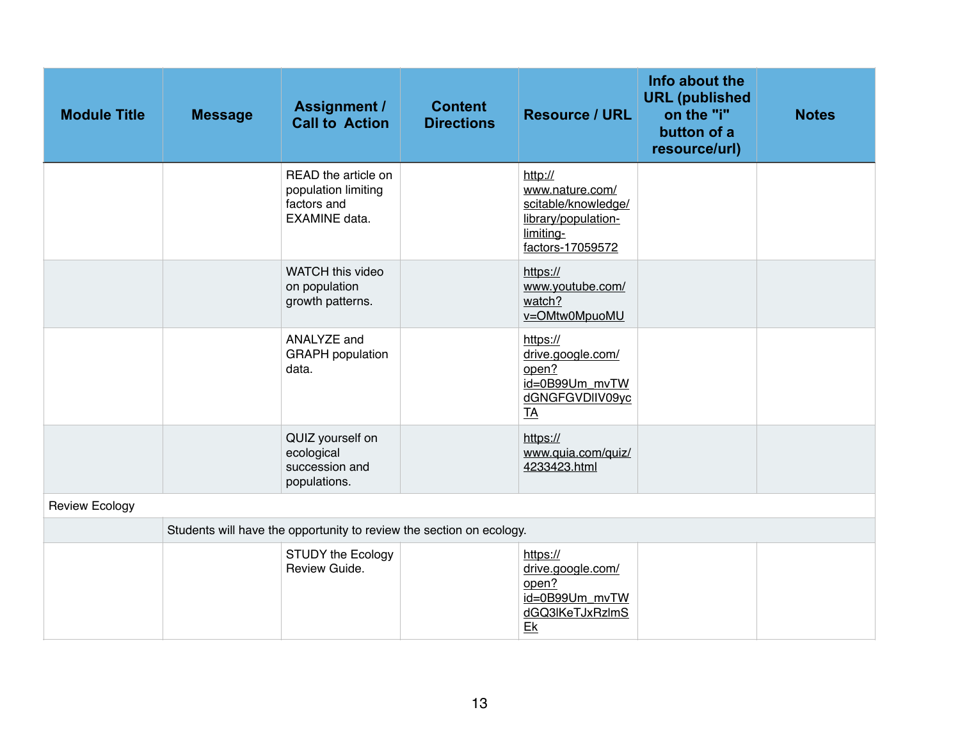| <b>Module Title</b>   | <b>Message</b> | <b>Assignment /</b><br><b>Call to Action</b>                                      | <b>Content</b><br><b>Directions</b> | <b>Resource / URL</b>                                                                                     | Info about the<br><b>URL</b> (published<br>on the "i"<br>button of a<br>resource/url) | <b>Notes</b> |
|-----------------------|----------------|-----------------------------------------------------------------------------------|-------------------------------------|-----------------------------------------------------------------------------------------------------------|---------------------------------------------------------------------------------------|--------------|
|                       |                | READ the article on<br>population limiting<br>factors and<br><b>EXAMINE</b> data. |                                     | http://<br>www.nature.com/<br>scitable/knowledge/<br>library/population-<br>limiting-<br>factors-17059572 |                                                                                       |              |
|                       |                | WATCH this video<br>on population<br>growth patterns.                             |                                     | https://<br>www.youtube.com/<br>watch?<br>v=OMtw0MpuoMU                                                   |                                                                                       |              |
|                       |                | ANALYZE and<br><b>GRAPH</b> population<br>data.                                   |                                     | https://<br>drive.google.com/<br>open?<br>id=0B99Um_mvTW<br>dGNGFGVDIIV09yc<br><b>TA</b>                  |                                                                                       |              |
|                       |                | QUIZ yourself on<br>ecological<br>succession and<br>populations.                  |                                     | https://<br>www.quia.com/quiz/<br>4233423.html                                                            |                                                                                       |              |
| <b>Review Ecology</b> |                |                                                                                   |                                     |                                                                                                           |                                                                                       |              |
|                       |                | Students will have the opportunity to review the section on ecology.              |                                     |                                                                                                           |                                                                                       |              |
|                       |                | <b>STUDY the Ecology</b><br>Review Guide.                                         |                                     | https://<br>drive.google.com/<br>open?<br>id=0B99Um_mvTW<br>dGQ3IKeTJxRzImS<br>$E_{\rm K}$                |                                                                                       |              |